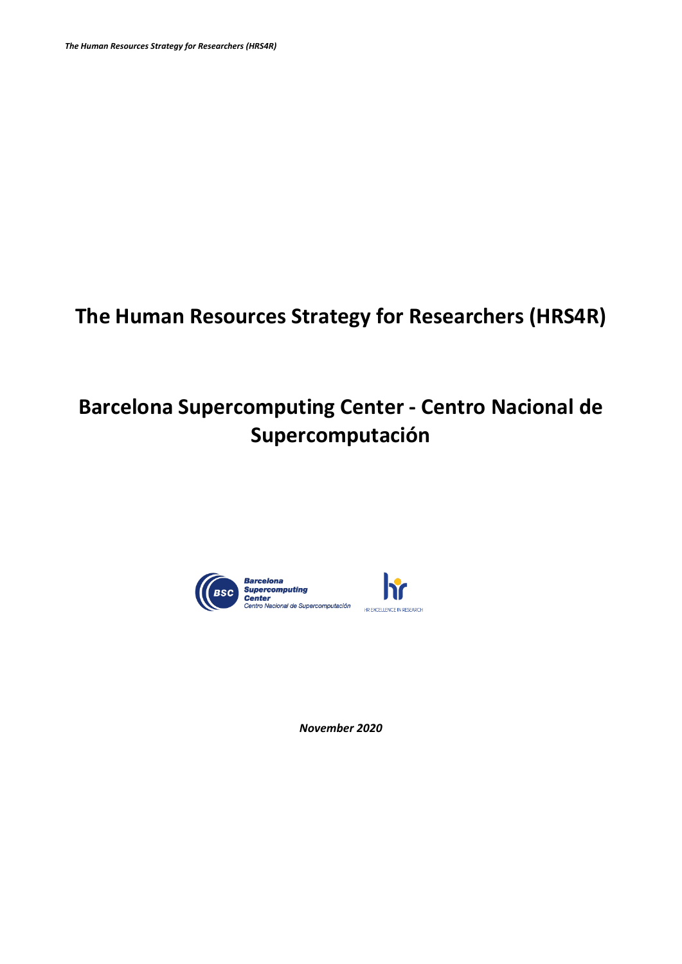# **The Human Resources Strategy for Researchers (HRS4R)**

# **Barcelona Supercomputing Center - Centro Nacional de Supercomputación**



*November 2020*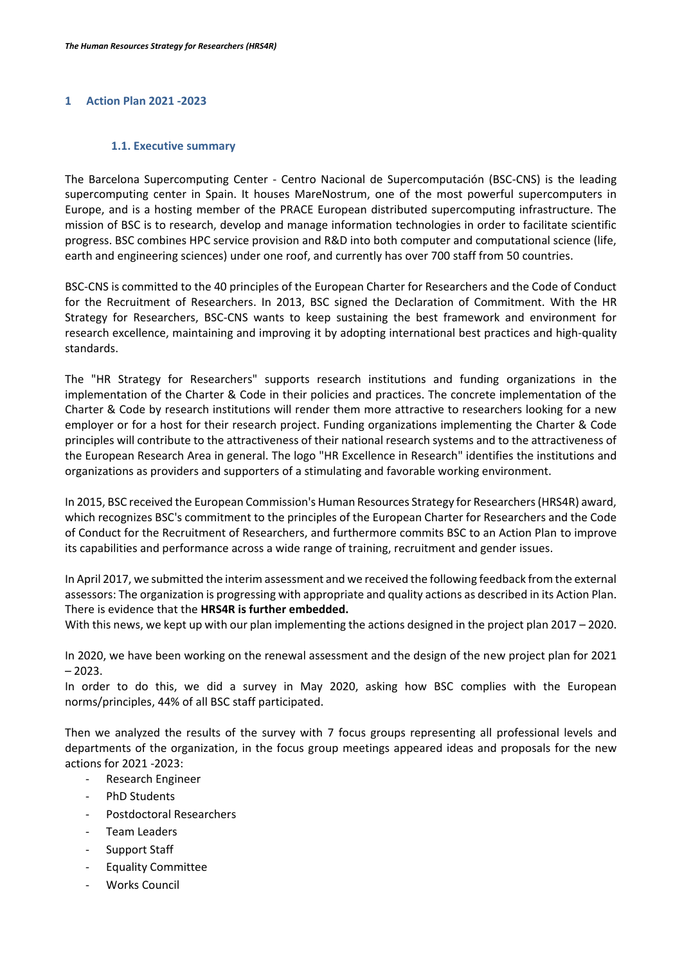# **1 Action Plan 2021 -2023**

#### **1.1. Executive summary**

The Barcelona Supercomputing Center - Centro Nacional de Supercomputación (BSC-CNS) is the leading supercomputing center in Spain. It houses MareNostrum, one of the most powerful supercomputers in Europe, and is a hosting member of the PRACE European distributed supercomputing infrastructure. The mission of BSC is to research, develop and manage information technologies in order to facilitate scientific progress. BSC combines HPC service provision and R&D into both computer and computational science (life, earth and engineering sciences) under one roof, and currently has over 700 staff from 50 countries.

BSC-CNS is committed to the 40 principles of the European Charter for Researchers and the Code of Conduct for the Recruitment of Researchers. In 2013, BSC signed the Declaration of Commitment. With the HR Strategy for Researchers, BSC-CNS wants to keep sustaining the best framework and environment for research excellence, maintaining and improving it by adopting international best practices and high-quality standards.

The "HR Strategy for Researchers" supports research institutions and funding organizations in the implementation of the Charter & Code in their policies and practices. The concrete implementation of the Charter & Code by research institutions will render them more attractive to researchers looking for a new employer or for a host for their research project. Funding organizations implementing the Charter & Code principles will contribute to the attractiveness of their national research systems and to the attractiveness of the European Research Area in general. The logo "HR Excellence in Research" identifies the institutions and organizations as providers and supporters of a stimulating and favorable working environment.

In 2015, BSC received the European Commission's Human Resources Strategy for Researchers (HRS4R) award, which recognizes BSC's commitment to the principles of the European Charter for Researchers and the Code of Conduct for the Recruitment of Researchers, and furthermore commits BSC to an Action Plan to improve its capabilities and performance across a wide range of training, recruitment and gender issues.

In April 2017, we submitted the interim assessment and we received the following feedback from the external assessors: The organization is progressing with appropriate and quality actions as described in its Action Plan. There is evidence that the **HRS4R is further embedded.**

With this news, we kept up with our plan implementing the actions designed in the project plan 2017 – 2020.

In 2020, we have been working on the renewal assessment and the design of the new project plan for 2021  $-2023.$ 

In order to do this, we did a survey in May 2020, asking how BSC complies with the European norms/principles, 44% of all BSC staff participated.

Then we analyzed the results of the survey with 7 focus groups representing all professional levels and departments of the organization, in the focus group meetings appeared ideas and proposals for the new actions for 2021 -2023:

- Research Engineer
- PhD Students
- Postdoctoral Researchers
- Team Leaders
- Support Staff
- Equality Committee
- Works Council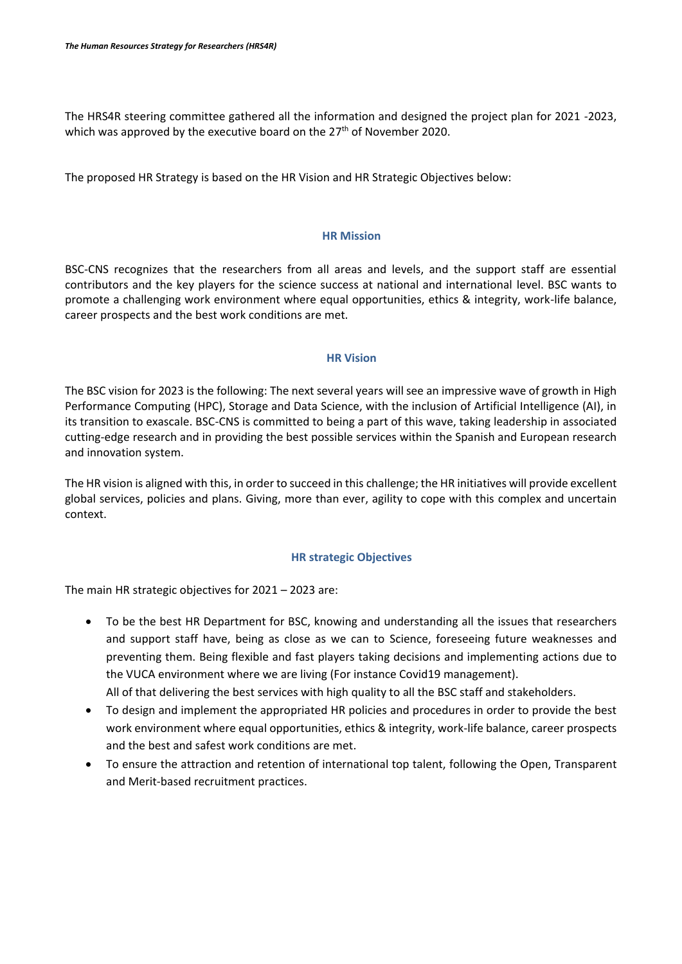The HRS4R steering committee gathered all the information and designed the project plan for 2021 -2023, which was approved by the executive board on the 27<sup>th</sup> of November 2020.

The proposed HR Strategy is based on the HR Vision and HR Strategic Objectives below:

### **HR Mission**

BSC-CNS recognizes that the researchers from all areas and levels, and the support staff are essential contributors and the key players for the science success at national and international level. BSC wants to promote a challenging work environment where equal opportunities, ethics & integrity, work-life balance, career prospects and the best work conditions are met.

### **HR Vision**

The BSC vision for 2023 is the following: The next several years will see an impressive wave of growth in High Performance Computing (HPC), Storage and Data Science, with the inclusion of Artificial Intelligence (AI), in its transition to exascale. BSC-CNS is committed to being a part of this wave, taking leadership in associated cutting-edge research and in providing the best possible services within the Spanish and European research and innovation system.

The HR vision is aligned with this, in order to succeed in this challenge; the HR initiatives will provide excellent global services, policies and plans. Giving, more than ever, agility to cope with this complex and uncertain context.

# **HR strategic Objectives**

The main HR strategic objectives for 2021 – 2023 are:

- To be the best HR Department for BSC, knowing and understanding all the issues that researchers and support staff have, being as close as we can to Science, foreseeing future weaknesses and preventing them. Being flexible and fast players taking decisions and implementing actions due to the VUCA environment where we are living (For instance Covid19 management). All of that delivering the best services with high quality to all the BSC staff and stakeholders.
- To design and implement the appropriated HR policies and procedures in order to provide the best work environment where equal opportunities, ethics & integrity, work-life balance, career prospects and the best and safest work conditions are met.
- To ensure the attraction and retention of international top talent, following the Open, Transparent and Merit-based recruitment practices.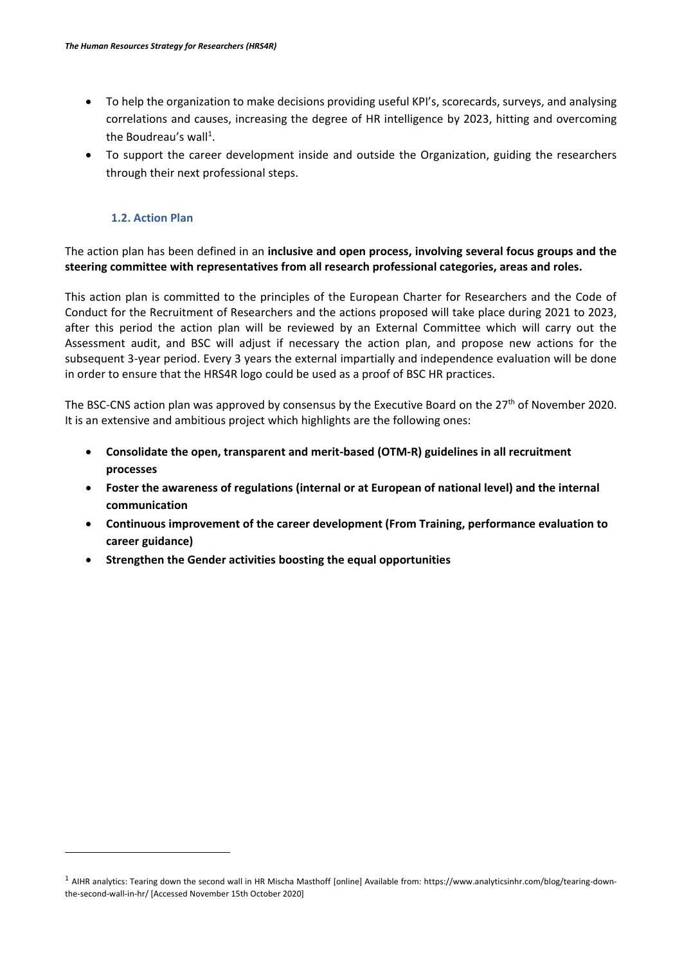- To help the organization to make decisions providing useful KPI's, scorecards, surveys, and analysing correlations and causes, increasing the degree of HR intelligence by 2023, hitting and overcoming the Boudreau's wall<sup>1</sup>.
- To support the career development inside and outside the Organization, guiding the researchers through their next professional steps.

# **1.2. Action Plan**

 $\overline{\phantom{a}}$ 

The action plan has been defined in an **inclusive and open process, involving several focus groups and the steering committee with representatives from all research professional categories, areas and roles.** 

This action plan is committed to the principles of the European Charter for Researchers and the Code of Conduct for the Recruitment of Researchers and the actions proposed will take place during 2021 to 2023, after this period the action plan will be reviewed by an External Committee which will carry out the Assessment audit, and BSC will adjust if necessary the action plan, and propose new actions for the subsequent 3-year period. Every 3 years the external impartially and independence evaluation will be done in order to ensure that the HRS4R logo could be used as a proof of BSC HR practices.

The BSC-CNS action plan was approved by consensus by the Executive Board on the 27<sup>th</sup> of November 2020. It is an extensive and ambitious project which highlights are the following ones:

- **Consolidate the open, transparent and merit-based (OTM-R) guidelines in all recruitment processes**
- **Foster the awareness of regulations (internal or at European of national level) and the internal communication**
- **Continuous improvement of the career development (From Training, performance evaluation to career guidance)**
- **Strengthen the Gender activities boosting the equal opportunities**

<sup>&</sup>lt;sup>1</sup> AIHR analytics: Tearing down the second wall in HR Mischa Masthoff [online] Available from: https://www.analyticsinhr.com/blog/tearing-downthe-second-wall-in-hr/ [Accessed November 15th October 2020]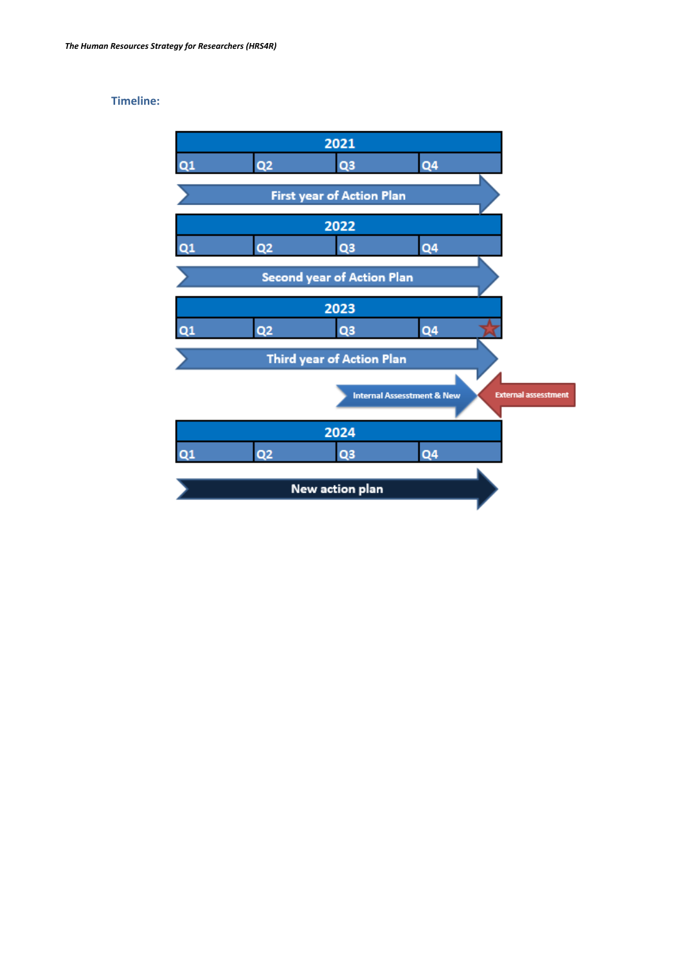# **Timeline:**

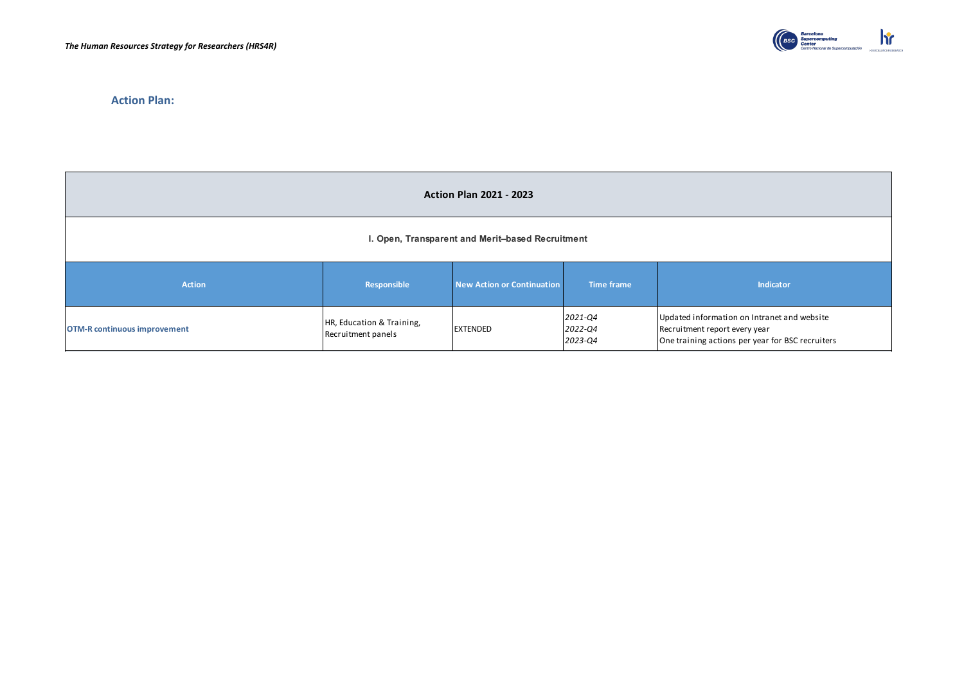

**Action Plan:**

| <b>Action Plan 2021 - 2023</b>                   |                                                 |                            |                               |                                                                                                                                  |
|--------------------------------------------------|-------------------------------------------------|----------------------------|-------------------------------|----------------------------------------------------------------------------------------------------------------------------------|
| I. Open, Transparent and Merit-based Recruitment |                                                 |                            |                               |                                                                                                                                  |
| <b>Action</b>                                    | Responsible                                     | New Action or Continuation | <b>Time frame</b>             | Indicator                                                                                                                        |
| <b>OTM-R continuous improvement</b>              | HR, Education & Training,<br>Recruitment panels | <b>EXTENDED</b>            | 2021-Q4<br>2022-Q4<br>2023-Q4 | Updated information on Intranet and website<br>Recruitment report every year<br>One training actions per year for BSC recruiters |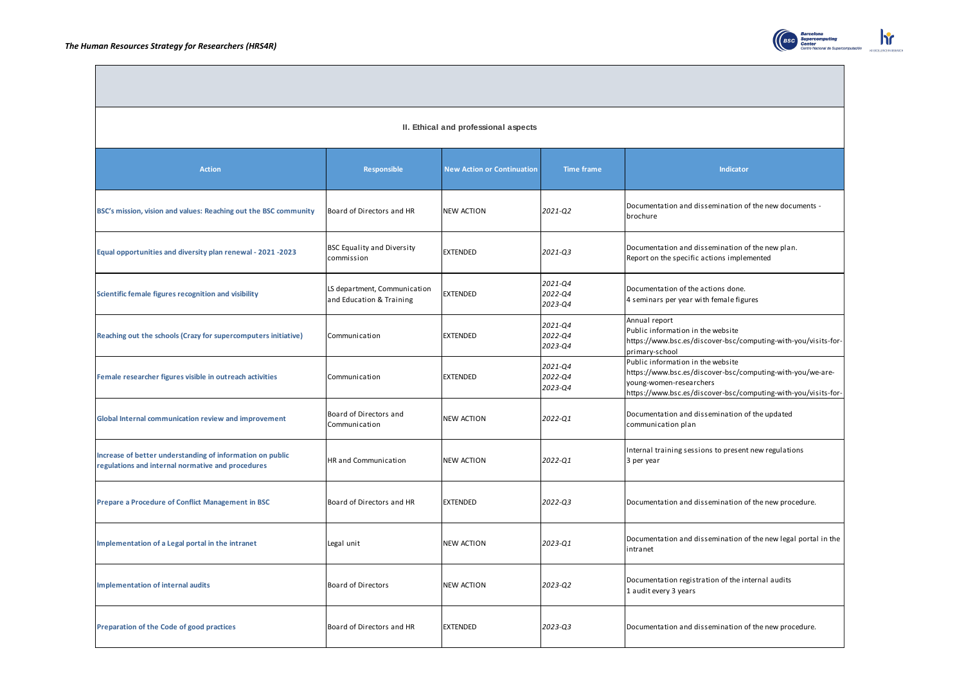

|  |  |  | II. Ethical and professional aspects |  |
|--|--|--|--------------------------------------|--|
|--|--|--|--------------------------------------|--|

| <b>Action</b>                                                                                                  | Responsible                                              | <b>New Action or Continuation</b> | <b>Time frame</b>             | <b>Indicator</b>                                                                                                                                                                             |
|----------------------------------------------------------------------------------------------------------------|----------------------------------------------------------|-----------------------------------|-------------------------------|----------------------------------------------------------------------------------------------------------------------------------------------------------------------------------------------|
| BSC's mission, vision and values: Reaching out the BSC community                                               | Board of Directors and HR                                | <b>NEW ACTION</b>                 | 2021-Q2                       | Documentation and dissemination of the new documents -<br>brochure                                                                                                                           |
| Equal opportunities and diversity plan renewal - 2021 -2023                                                    | <b>BSC Equality and Diversity</b><br>commission          | <b>EXTENDED</b>                   | 2021-03                       | Documentation and dissemination of the new plan.<br>Report on the specific actions implemented                                                                                               |
| Scientific female figures recognition and visibility                                                           | LS department, Communication<br>and Education & Training | <b>EXTENDED</b>                   | 2021-Q4<br>2022-Q4<br>2023-Q4 | Documentation of the actions done.<br>4 seminars per year with female figures                                                                                                                |
| Reaching out the schools (Crazy for supercomputers initiative)                                                 | Communication                                            | <b>EXTENDED</b>                   | 2021-Q4<br>2022-Q4<br>2023-04 | Annual report<br>Public information in the website<br>https://www.bsc.es/discover-bsc/computing-with-you/visits-for-<br>primary-school                                                       |
| Female researcher figures visible in outreach activities                                                       | Communication                                            | <b>EXTENDED</b>                   | 2021-Q4<br>2022-Q4<br>2023-Q4 | Public information in the website<br>https://www.bsc.es/discover-bsc/computing-with-you/we-are-<br>young-women-researchers<br>https://www.bsc.es/discover-bsc/computing-with-you/visits-for- |
| Global Internal communication review and improvement                                                           | Board of Directors and<br>Communication                  | <b>NEW ACTION</b>                 | 2022-Q1                       | Documentation and dissemination of the updated<br>communication plan                                                                                                                         |
| Increase of better understanding of information on public<br>regulations and internal normative and procedures | <b>HR</b> and Communication                              | <b>NEW ACTION</b>                 | 2022-Q1                       | Internal training sessions to present new regulations<br>3 per year                                                                                                                          |
| Prepare a Procedure of Conflict Management in BSC                                                              | Board of Directors and HR                                | <b>EXTENDED</b>                   | 2022-Q3                       | Documentation and dissemination of the new procedure.                                                                                                                                        |
| Implementation of a Legal portal in the intranet                                                               | Legal unit                                               | <b>NEW ACTION</b>                 | 2023-Q1                       | Documentation and dissemination of the new legal portal in the<br>intranet                                                                                                                   |
| <b>Implementation of internal audits</b>                                                                       | <b>Board of Directors</b>                                | <b>NEW ACTION</b>                 | 2023-Q2                       | Documentation registration of the internal audits<br>1 audit every 3 years                                                                                                                   |
| Preparation of the Code of good practices                                                                      | Board of Directors and HR                                | <b>EXTENDED</b>                   | 2023-03                       | Documentation and dissemination of the new procedure.                                                                                                                                        |

 $\mathbf{h}$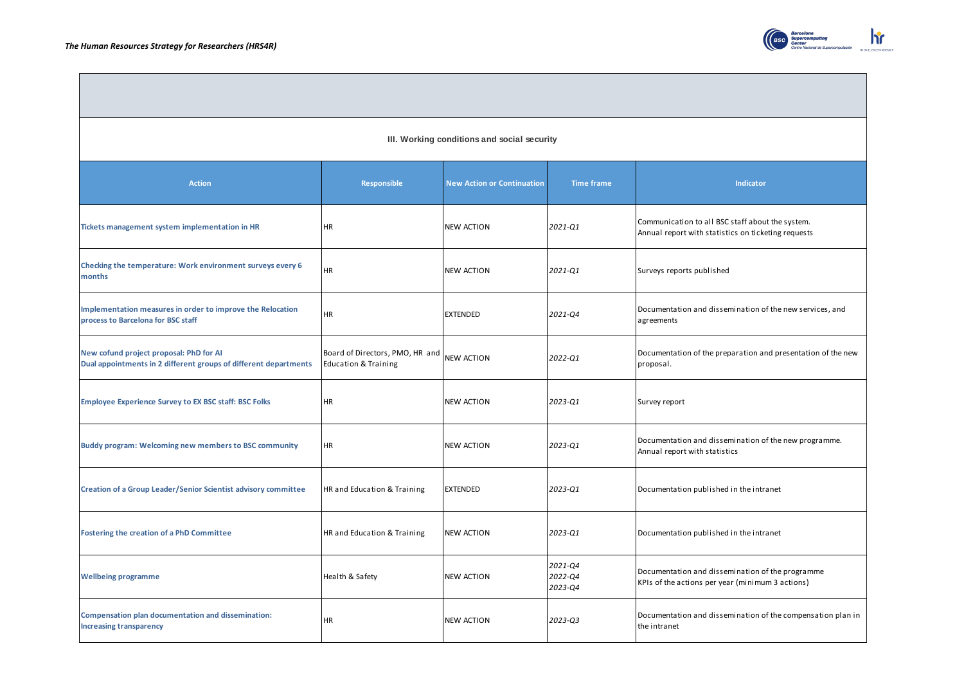

#### **III. Working conditions and social security**

| <b>Action</b>                                                                                               | Responsible                                                        | <b>New Action or Continuation</b> | <b>Time frame</b>             | Indicator                                                                                               |  |
|-------------------------------------------------------------------------------------------------------------|--------------------------------------------------------------------|-----------------------------------|-------------------------------|---------------------------------------------------------------------------------------------------------|--|
| Tickets management system implementation in HR                                                              | HR                                                                 | NEW ACTION                        | 2021-Q1                       | Communication to all BSC staff about the system.<br>Annual report with statistics on ticketing requests |  |
| Checking the temperature: Work environment surveys every 6<br>months                                        | HR.                                                                | <b>NEW ACTION</b>                 | 2021-Q1                       | Surveys reports published                                                                               |  |
| Implementation measures in order to improve the Relocation<br>process to Barcelona for BSC staff            | HR                                                                 | <b>EXTENDED</b>                   | 2021-Q4                       | Documentation and dissemination of the new services, and<br>agreements                                  |  |
| New cofund project proposal: PhD for AI<br>Dual appointments in 2 different groups of different departments | Board of Directors, PMO, HR and<br><b>Education &amp; Training</b> | <b>NEW ACTION</b>                 | 2022-Q1                       | Documentation of the preparation and presentation of the new<br>proposal.                               |  |
| <b>Employee Experience Survey to EX BSC staff: BSC Folks</b>                                                | HR.                                                                | <b>NEW ACTION</b>                 | 2023-01                       | Survey report                                                                                           |  |
| Buddy program: Welcoming new members to BSC community                                                       | HR                                                                 | NEW ACTION                        | 2023-Q1                       | Documentation and dissemination of the new programme.<br>Annual report with statistics                  |  |
| Creation of a Group Leader/Senior Scientist advisory committee                                              | HR and Education & Training                                        | <b>EXTENDED</b>                   | 2023-Q1                       | Documentation published in the intranet                                                                 |  |
| Fostering the creation of a PhD Committee                                                                   | HR and Education & Training                                        | <b>NEW ACTION</b>                 | 2023-01                       | Documentation published in the intranet                                                                 |  |
| <b>Wellbeing programme</b>                                                                                  | Health & Safety                                                    | NEW ACTION                        | 2021-Q4<br>2022-Q4<br>2023-Q4 | Documentation and dissemination of the programme<br>KPIs of the actions per year (minimum 3 actions)    |  |
| Compensation plan documentation and dissemination:<br><b>Increasing transparency</b>                        | HR                                                                 | <b>NEW ACTION</b>                 | 2023-Q3                       | Documentation and dissemination of the compensation plan in<br>the intranet                             |  |